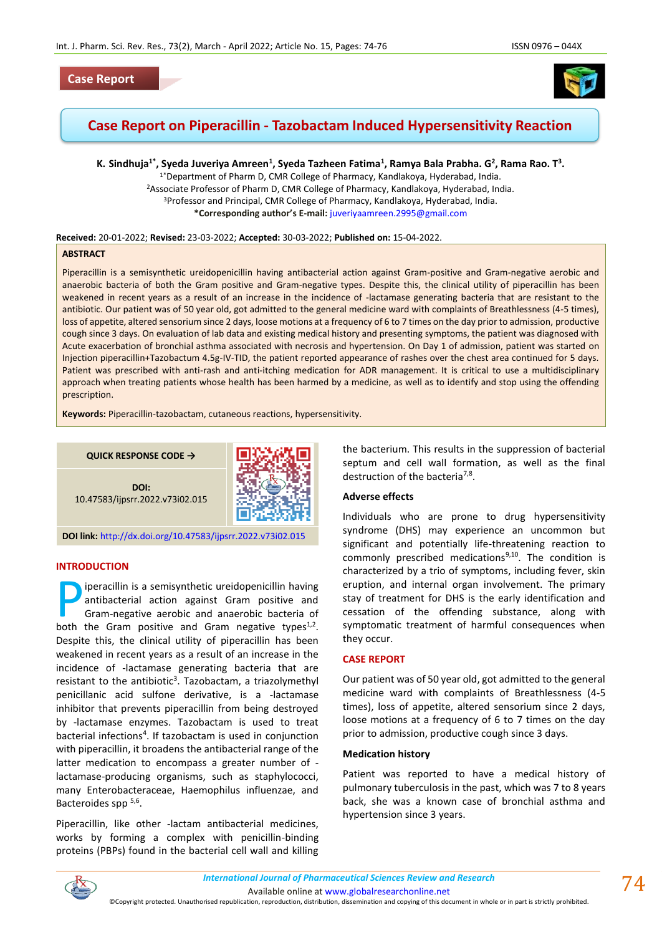# **Case Report**



# **Case Report on Piperacillin - Tazobactam Induced Hypersensitivity Reaction**

K. Sindhuja<sup>1\*</sup>, Syeda Juveriya Amreen<sup>1</sup>, Syeda Tazheen Fatima<sup>1</sup>, Ramya Bala Prabha. G<sup>2</sup>, Rama Rao. T<sup>3</sup>.

1\*Department of Pharm D, CMR College of Pharmacy, Kandlakoya, Hyderabad, India. <sup>2</sup>Associate Professor of Pharm D, CMR College of Pharmacy, Kandlakoya, Hyderabad, India. <sup>3</sup>Professor and Principal, CMR College of Pharmacy, Kandlakoya, Hyderabad, India. **\*Corresponding author's E-mail:** [juveriyaamreen.2995@gmail.com](mailto:juveriyaamreen.2995@gmail.com)

#### **Received:** 20-01-2022; **Revised:** 23-03-2022; **Accepted:** 30-03-2022; **Published on:** 15-04-2022.

### **ABSTRACT**

Piperacillin is a semisynthetic ureidopenicillin having antibacterial action against Gram-positive and Gram-negative aerobic and anaerobic bacteria of both the Gram positive and Gram-negative types. Despite this, the clinical utility of piperacillin has been weakened in recent years as a result of an increase in the incidence of -lactamase generating bacteria that are resistant to the antibiotic. Our patient was of 50 year old, got admitted to the general medicine ward with complaints of Breathlessness (4-5 times), loss of appetite, altered sensorium since 2 days, loose motions at a frequency of 6 to 7 times on the day prior to admission, productive cough since 3 days. On evaluation of lab data and existing medical history and presenting symptoms, the patient was diagnosed with Acute exacerbation of bronchial asthma associated with necrosis and hypertension. On Day 1 of admission, patient was started on Injection piperacillin+Tazobactum 4.5g-IV-TID, the patient reported appearance of rashes over the chest area continued for 5 days. Patient was prescribed with anti-rash and anti-itching medication for ADR management. It is critical to use a multidisciplinary approach when treating patients whose health has been harmed by a medicine, as well as to identify and stop using the offending prescription.

**Keywords:** Piperacillin-tazobactam, cutaneous reactions, hypersensitivity.

**QUICK RESPONSE CODE →**

**DOI:** 10.47583/ijpsrr.2022.v73i02.015



**DOI link:** <http://dx.doi.org/10.47583/ijpsrr.2022.v73i02.015>

# **INTRODUCTION**

iperacillin is a semisynthetic ureidopenicillin having antibacterial action against Gram positive and Gram-negative aerobic and anaerobic bacteria of peracillin is a semisynthetic ureidopenicillin having<br>antibacterial action against Gram positive and<br>Gram-negative aerobic and anaerobic bacteria of<br>both the Gram positive and Gram negative types<sup>1,2</sup>. Despite this, the clinical utility of piperacillin has been weakened in recent years as a result of an increase in the incidence of -lactamase generating bacteria that are resistant to the antibiotic<sup>3</sup>. Tazobactam, a triazolymethyl penicillanic acid sulfone derivative, is a -lactamase inhibitor that prevents piperacillin from being destroyed by -lactamase enzymes. Tazobactam is used to treat bacterial infections<sup>4</sup>. If tazobactam is used in conjunction with piperacillin, it broadens the antibacterial range of the latter medication to encompass a greater number of lactamase-producing organisms, such as staphylococci, many Enterobacteraceae, Haemophilus influenzae, and Bacteroides spp 5,6.

Piperacillin, like other -lactam antibacterial medicines, works by forming a complex with penicillin-binding proteins (PBPs) found in the bacterial cell wall and killing the bacterium. This results in the suppression of bacterial septum and cell wall formation, as well as the final destruction of the bacteria<sup>7,8</sup>.

### **Adverse effects**

Individuals who are prone to drug hypersensitivity syndrome (DHS) may experience an uncommon but significant and potentially life-threatening reaction to commonly prescribed medications $9,10$ . The condition is characterized by a trio of symptoms, including fever, skin eruption, and internal organ involvement. The primary stay of treatment for DHS is the early identification and cessation of the offending substance, along with symptomatic treatment of harmful consequences when they occur.

# **CASE REPORT**

Our patient was of 50 year old, got admitted to the general medicine ward with complaints of Breathlessness (4-5 times), loss of appetite, altered sensorium since 2 days, loose motions at a frequency of 6 to 7 times on the day prior to admission, productive cough since 3 days.

#### **Medication history**

Patient was reported to have a medical history of pulmonary tuberculosis in the past, which was 7 to 8 years back, she was a known case of bronchial asthma and hypertension since 3 years.



*International Journal of Pharmaceutical Sciences Review and Research International Journal of Pharmaceutical Sciences Review and Research*

Available online a[t www.globalresearchonline.net](http://www.globalresearchonline.net/)

©Copyright protected. Unauthorised republication, reproduction, distribution, dissemination and copying of this document in whole or in part is strictly prohibited.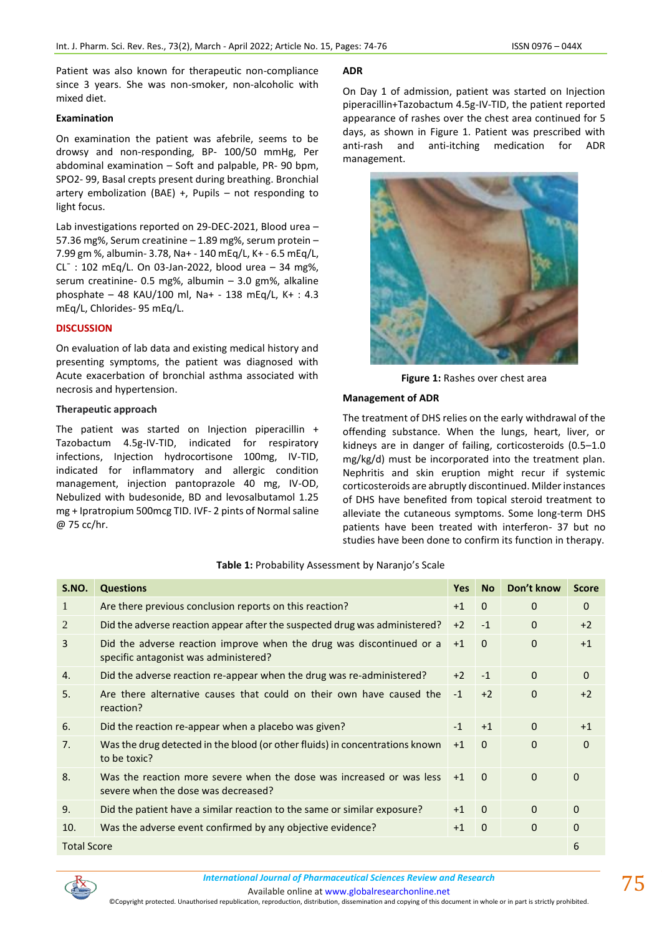Patient was also known for therapeutic non-compliance since 3 years. She was non-smoker, non-alcoholic with mixed diet.

# **Examination**

On examination the patient was afebrile, seems to be drowsy and non-responding, BP- 100/50 mmHg, Per abdominal examination – Soft and palpable, PR- 90 bpm, SPO2- 99, Basal crepts present during breathing. Bronchial artery embolization (BAE) +, Pupils  $-$  not responding to light focus.

Lab investigations reported on 29-DEC-2021, Blood urea – 57.36 mg%, Serum creatinine – 1.89 mg%, serum protein – 7.99 gm %, albumin- 3.78, Na+ - 140 mEq/L, K+ - 6.5 mEq/L,  $CL^-$ : 102 mEq/L. On 03-Jan-2022, blood urea – 34 mg%, serum creatinine- 0.5 mg%, albumin – 3.0 gm%, alkaline phosphate – 48 KAU/100 ml, Na+ - 138 mEq/L, K+ : 4.3 mEq/L, Chlorides- 95 mEq/L.

# **DISCUSSION**

On evaluation of lab data and existing medical history and presenting symptoms, the patient was diagnosed with Acute exacerbation of bronchial asthma associated with necrosis and hypertension.

# **Therapeutic approach**

The patient was started on Injection piperacillin + Tazobactum 4.5g-IV-TID, indicated for respiratory infections, Injection hydrocortisone 100mg, IV-TID, indicated for inflammatory and allergic condition management, injection pantoprazole 40 mg, IV-OD, Nebulized with budesonide, BD and levosalbutamol 1.25 mg + Ipratropium 500mcg TID. IVF- 2 pints of Normal saline @ 75 cc/hr.

# **ADR**

On Day 1 of admission, patient was started on Injection piperacillin+Tazobactum 4.5g-IV-TID, the patient reported appearance of rashes over the chest area continued for 5 days, as shown in Figure 1. Patient was prescribed with anti-rash and anti-itching medication for ADR management.



**Figure 1:** Rashes over chest area

# **Management of ADR**

The treatment of DHS relies on the early withdrawal of the offending substance. When the lungs, heart, liver, or kidneys are in danger of failing, corticosteroids (0.5–1.0 mg/kg/d) must be incorporated into the treatment plan. Nephritis and skin eruption might recur if systemic corticosteroids are abruptly discontinued. Milder instances of DHS have benefited from topical steroid treatment to alleviate the cutaneous symptoms. Some long-term DHS patients have been treated with interferon- 37 but no studies have been done to confirm its function in therapy.

# **Table 1:** Probability Assessment by Naranjo's Scale

| S.NO.              | <b>Questions</b>                                                                                              | <b>Yes</b> | <b>No</b>    | Don't know  | <b>Score</b> |
|--------------------|---------------------------------------------------------------------------------------------------------------|------------|--------------|-------------|--------------|
| 1                  | Are there previous conclusion reports on this reaction?                                                       | $+1$       | $\mathbf{0}$ | $\Omega$    | $\Omega$     |
| 2                  | Did the adverse reaction appear after the suspected drug was administered?                                    | $+2$       | $-1$         | $\Omega$    | $+2$         |
| 3                  | Did the adverse reaction improve when the drug was discontinued or a<br>specific antagonist was administered? | $+1$       | $\mathbf{0}$ | $\Omega$    | $+1$         |
| 4.                 | Did the adverse reaction re-appear when the drug was re-administered?                                         | $+2$       | $-1$         | $\Omega$    | $\Omega$     |
| 5.                 | Are there alternative causes that could on their own have caused the<br>reaction?                             | $-1$       | $+2$         | $\mathbf 0$ | $+2$         |
| 6.                 | Did the reaction re-appear when a placebo was given?                                                          | $-1$       | $+1$         | $\Omega$    | $+1$         |
| 7.                 | Was the drug detected in the blood (or other fluids) in concentrations known<br>to be toxic?                  | $+1$       | $\Omega$     | $\Omega$    | $\Omega$     |
| 8.                 | Was the reaction more severe when the dose was increased or was less<br>severe when the dose was decreased?   | $+1$       | $\Omega$     | $\Omega$    | $\Omega$     |
| 9.                 | Did the patient have a similar reaction to the same or similar exposure?                                      | $+1$       | $\mathbf{0}$ | $\Omega$    | $\Omega$     |
| 10.                | Was the adverse event confirmed by any objective evidence?                                                    | $+1$       | $\Omega$     | $\Omega$    | $\Omega$     |
| <b>Total Score</b> |                                                                                                               |            |              |             | 6            |



Available online a[t www.globalresearchonline.net](http://www.globalresearchonline.net/)